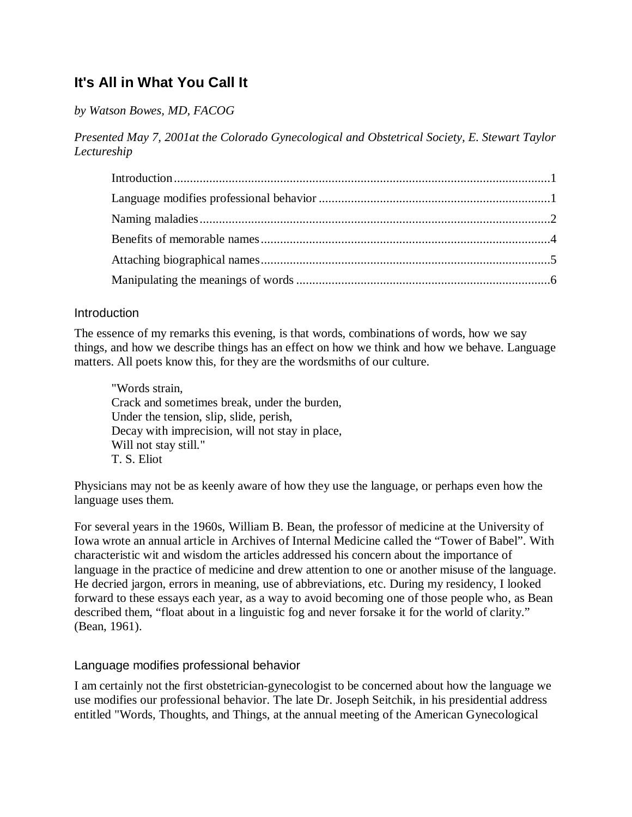# **It's All in What You Call It**

*by Watson Bowes, MD, FACOG*

*Presented May 7, 2001at the Colorado Gynecological and Obstetrical Society, E. Stewart Taylor Lectureship*

## <span id="page-0-0"></span>Introduction

The essence of my remarks this evening, is that words, combinations of words, how we say things, and how we describe things has an effect on how we think and how we behave. Language matters. All poets know this, for they are the wordsmiths of our culture.

"Words strain, Crack and sometimes break, under the burden, Under the tension, slip, slide, perish, Decay with imprecision, will not stay in place, Will not stay still." T. S. Eliot

Physicians may not be as keenly aware of how they use the language, or perhaps even how the language uses them.

For several years in the 1960s, William B. Bean, the professor of medicine at the University of Iowa wrote an annual article in Archives of Internal Medicine called the "Tower of Babel". With characteristic wit and wisdom the articles addressed his concern about the importance of language in the practice of medicine and drew attention to one or another misuse of the language. He decried jargon, errors in meaning, use of abbreviations, etc. During my residency, I looked forward to these essays each year, as a way to avoid becoming one of those people who, as Bean described them, "float about in a linguistic fog and never forsake it for the world of clarity." (Bean, 1961).

### <span id="page-0-1"></span>Language modifies professional behavior

I am certainly not the first obstetrician-gynecologist to be concerned about how the language we use modifies our professional behavior. The late Dr. Joseph Seitchik, in his presidential address entitled "Words, Thoughts, and Things, at the annual meeting of the American Gynecological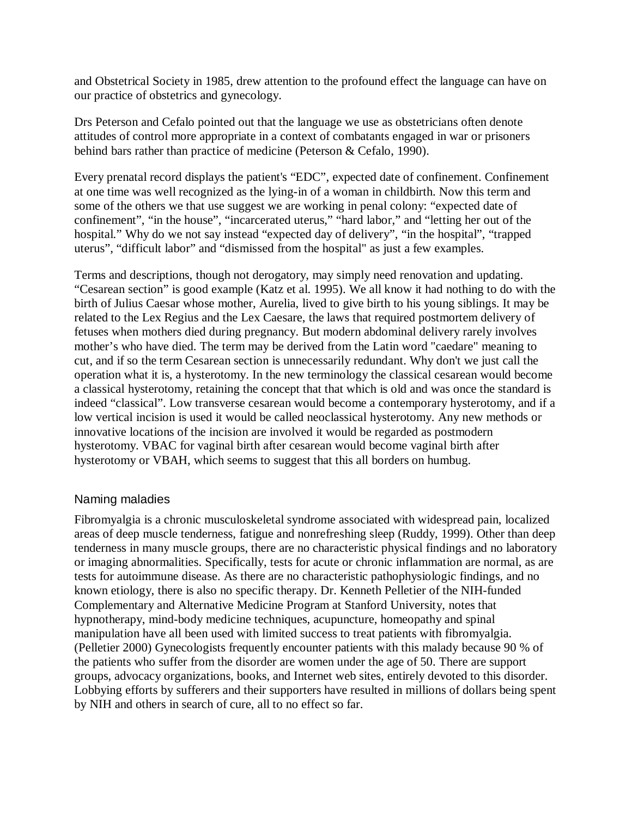and Obstetrical Society in 1985, drew attention to the profound effect the language can have on our practice of obstetrics and gynecology.

Drs Peterson and Cefalo pointed out that the language we use as obstetricians often denote attitudes of control more appropriate in a context of combatants engaged in war or prisoners behind bars rather than practice of medicine (Peterson & Cefalo, 1990).

Every prenatal record displays the patient's "EDC", expected date of confinement. Confinement at one time was well recognized as the lying-in of a woman in childbirth. Now this term and some of the others we that use suggest we are working in penal colony: "expected date of confinement", "in the house", "incarcerated uterus," "hard labor," and "letting her out of the hospital." Why do we not say instead "expected day of delivery", "in the hospital", "trapped uterus", "difficult labor" and "dismissed from the hospital" as just a few examples.

Terms and descriptions, though not derogatory, may simply need renovation and updating. "Cesarean section" is good example (Katz et al. 1995). We all know it had nothing to do with the birth of Julius Caesar whose mother, Aurelia, lived to give birth to his young siblings. It may be related to the Lex Regius and the Lex Caesare, the laws that required postmortem delivery of fetuses when mothers died during pregnancy. But modern abdominal delivery rarely involves mother's who have died. The term may be derived from the Latin word "caedare" meaning to cut, and if so the term Cesarean section is unnecessarily redundant. Why don't we just call the operation what it is, a hysterotomy. In the new terminology the classical cesarean would become a classical hysterotomy, retaining the concept that that which is old and was once the standard is indeed "classical". Low transverse cesarean would become a contemporary hysterotomy, and if a low vertical incision is used it would be called neoclassical hysterotomy. Any new methods or innovative locations of the incision are involved it would be regarded as postmodern hysterotomy. VBAC for vaginal birth after cesarean would become vaginal birth after hysterotomy or VBAH, which seems to suggest that this all borders on humbug.

### <span id="page-1-0"></span>Naming maladies

Fibromyalgia is a chronic musculoskeletal syndrome associated with widespread pain, localized areas of deep muscle tenderness, fatigue and nonrefreshing sleep (Ruddy, 1999). Other than deep tenderness in many muscle groups, there are no characteristic physical findings and no laboratory or imaging abnormalities. Specifically, tests for acute or chronic inflammation are normal, as are tests for autoimmune disease. As there are no characteristic pathophysiologic findings, and no known etiology, there is also no specific therapy. Dr. Kenneth Pelletier of the NIH-funded Complementary and Alternative Medicine Program at Stanford University, notes that hypnotherapy, mind-body medicine techniques, acupuncture, homeopathy and spinal manipulation have all been used with limited success to treat patients with fibromyalgia. (Pelletier 2000) Gynecologists frequently encounter patients with this malady because 90 % of the patients who suffer from the disorder are women under the age of 50. There are support groups, advocacy organizations, books, and Internet web sites, entirely devoted to this disorder. Lobbying efforts by sufferers and their supporters have resulted in millions of dollars being spent by NIH and others in search of cure, all to no effect so far.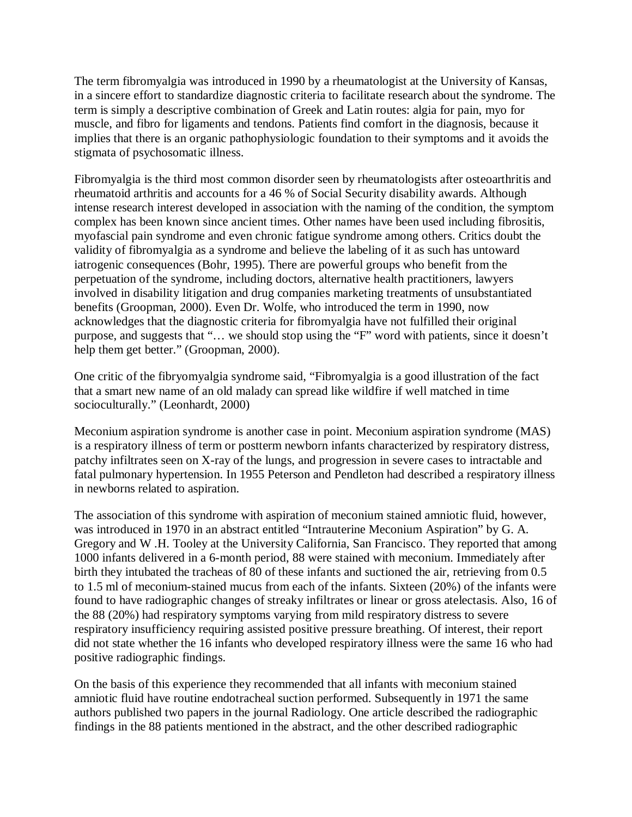The term fibromyalgia was introduced in 1990 by a rheumatologist at the University of Kansas, in a sincere effort to standardize diagnostic criteria to facilitate research about the syndrome. The term is simply a descriptive combination of Greek and Latin routes: algia for pain, myo for muscle, and fibro for ligaments and tendons. Patients find comfort in the diagnosis, because it implies that there is an organic pathophysiologic foundation to their symptoms and it avoids the stigmata of psychosomatic illness.

Fibromyalgia is the third most common disorder seen by rheumatologists after osteoarthritis and rheumatoid arthritis and accounts for a 46 % of Social Security disability awards. Although intense research interest developed in association with the naming of the condition, the symptom complex has been known since ancient times. Other names have been used including fibrositis, myofascial pain syndrome and even chronic fatigue syndrome among others. Critics doubt the validity of fibromyalgia as a syndrome and believe the labeling of it as such has untoward iatrogenic consequences (Bohr, 1995). There are powerful groups who benefit from the perpetuation of the syndrome, including doctors, alternative health practitioners, lawyers involved in disability litigation and drug companies marketing treatments of unsubstantiated benefits (Groopman, 2000). Even Dr. Wolfe, who introduced the term in 1990, now acknowledges that the diagnostic criteria for fibromyalgia have not fulfilled their original purpose, and suggests that "… we should stop using the "F" word with patients, since it doesn't help them get better." (Groopman, 2000).

One critic of the fibryomyalgia syndrome said, "Fibromyalgia is a good illustration of the fact that a smart new name of an old malady can spread like wildfire if well matched in time socioculturally." (Leonhardt, 2000)

Meconium aspiration syndrome is another case in point. Meconium aspiration syndrome (MAS) is a respiratory illness of term or postterm newborn infants characterized by respiratory distress, patchy infiltrates seen on X-ray of the lungs, and progression in severe cases to intractable and fatal pulmonary hypertension. In 1955 Peterson and Pendleton had described a respiratory illness in newborns related to aspiration.

The association of this syndrome with aspiration of meconium stained amniotic fluid, however, was introduced in 1970 in an abstract entitled "Intrauterine Meconium Aspiration" by G. A. Gregory and W .H. Tooley at the University California, San Francisco. They reported that among 1000 infants delivered in a 6-month period, 88 were stained with meconium. Immediately after birth they intubated the tracheas of 80 of these infants and suctioned the air, retrieving from 0.5 to 1.5 ml of meconium-stained mucus from each of the infants. Sixteen (20%) of the infants were found to have radiographic changes of streaky infiltrates or linear or gross atelectasis. Also, 16 of the 88 (20%) had respiratory symptoms varying from mild respiratory distress to severe respiratory insufficiency requiring assisted positive pressure breathing. Of interest, their report did not state whether the 16 infants who developed respiratory illness were the same 16 who had positive radiographic findings.

On the basis of this experience they recommended that all infants with meconium stained amniotic fluid have routine endotracheal suction performed. Subsequently in 1971 the same authors published two papers in the journal Radiology. One article described the radiographic findings in the 88 patients mentioned in the abstract, and the other described radiographic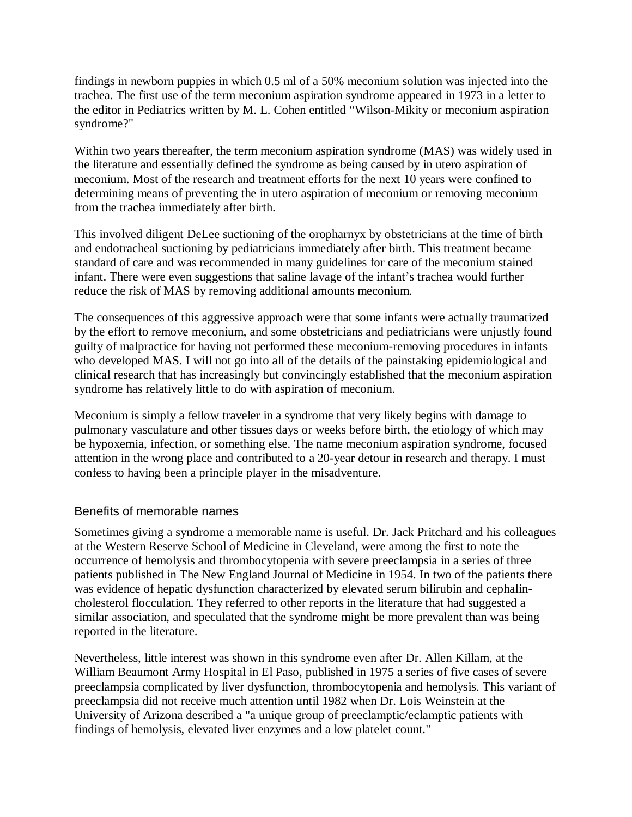findings in newborn puppies in which 0.5 ml of a 50% meconium solution was injected into the trachea. The first use of the term meconium aspiration syndrome appeared in 1973 in a letter to the editor in Pediatrics written by M. L. Cohen entitled "Wilson-Mikity or meconium aspiration syndrome?"

Within two years thereafter, the term meconium aspiration syndrome (MAS) was widely used in the literature and essentially defined the syndrome as being caused by in utero aspiration of meconium. Most of the research and treatment efforts for the next 10 years were confined to determining means of preventing the in utero aspiration of meconium or removing meconium from the trachea immediately after birth.

This involved diligent DeLee suctioning of the oropharnyx by obstetricians at the time of birth and endotracheal suctioning by pediatricians immediately after birth. This treatment became standard of care and was recommended in many guidelines for care of the meconium stained infant. There were even suggestions that saline lavage of the infant's trachea would further reduce the risk of MAS by removing additional amounts meconium.

The consequences of this aggressive approach were that some infants were actually traumatized by the effort to remove meconium, and some obstetricians and pediatricians were unjustly found guilty of malpractice for having not performed these meconium-removing procedures in infants who developed MAS. I will not go into all of the details of the painstaking epidemiological and clinical research that has increasingly but convincingly established that the meconium aspiration syndrome has relatively little to do with aspiration of meconium.

Meconium is simply a fellow traveler in a syndrome that very likely begins with damage to pulmonary vasculature and other tissues days or weeks before birth, the etiology of which may be hypoxemia, infection, or something else. The name meconium aspiration syndrome, focused attention in the wrong place and contributed to a 20-year detour in research and therapy. I must confess to having been a principle player in the misadventure.

## <span id="page-3-0"></span>Benefits of memorable names

Sometimes giving a syndrome a memorable name is useful. Dr. Jack Pritchard and his colleagues at the Western Reserve School of Medicine in Cleveland, were among the first to note the occurrence of hemolysis and thrombocytopenia with severe preeclampsia in a series of three patients published in The New England Journal of Medicine in 1954. In two of the patients there was evidence of hepatic dysfunction characterized by elevated serum bilirubin and cephalincholesterol flocculation. They referred to other reports in the literature that had suggested a similar association, and speculated that the syndrome might be more prevalent than was being reported in the literature.

Nevertheless, little interest was shown in this syndrome even after Dr. Allen Killam, at the William Beaumont Army Hospital in El Paso, published in 1975 a series of five cases of severe preeclampsia complicated by liver dysfunction, thrombocytopenia and hemolysis. This variant of preeclampsia did not receive much attention until 1982 when Dr. Lois Weinstein at the University of Arizona described a "a unique group of preeclamptic/eclamptic patients with findings of hemolysis, elevated liver enzymes and a low platelet count."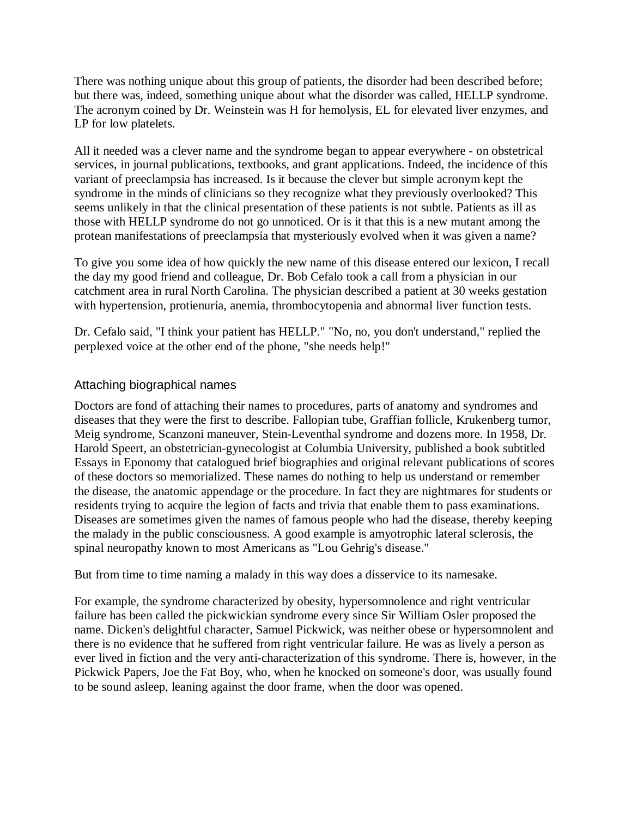There was nothing unique about this group of patients, the disorder had been described before; but there was, indeed, something unique about what the disorder was called, HELLP syndrome. The acronym coined by Dr. Weinstein was H for hemolysis, EL for elevated liver enzymes, and LP for low platelets.

All it needed was a clever name and the syndrome began to appear everywhere - on obstetrical services, in journal publications, textbooks, and grant applications. Indeed, the incidence of this variant of preeclampsia has increased. Is it because the clever but simple acronym kept the syndrome in the minds of clinicians so they recognize what they previously overlooked? This seems unlikely in that the clinical presentation of these patients is not subtle. Patients as ill as those with HELLP syndrome do not go unnoticed. Or is it that this is a new mutant among the protean manifestations of preeclampsia that mysteriously evolved when it was given a name?

To give you some idea of how quickly the new name of this disease entered our lexicon, I recall the day my good friend and colleague, Dr. Bob Cefalo took a call from a physician in our catchment area in rural North Carolina. The physician described a patient at 30 weeks gestation with hypertension, protienuria, anemia, thrombocytopenia and abnormal liver function tests.

Dr. Cefalo said, "I think your patient has HELLP." "No, no, you don't understand," replied the perplexed voice at the other end of the phone, "she needs help!"

# <span id="page-4-0"></span>Attaching biographical names

Doctors are fond of attaching their names to procedures, parts of anatomy and syndromes and diseases that they were the first to describe. Fallopian tube, Graffian follicle, Krukenberg tumor, Meig syndrome, Scanzoni maneuver, Stein-Leventhal syndrome and dozens more. In 1958, Dr. Harold Speert, an obstetrician-gynecologist at Columbia University, published a book subtitled Essays in Eponomy that catalogued brief biographies and original relevant publications of scores of these doctors so memorialized. These names do nothing to help us understand or remember the disease, the anatomic appendage or the procedure. In fact they are nightmares for students or residents trying to acquire the legion of facts and trivia that enable them to pass examinations. Diseases are sometimes given the names of famous people who had the disease, thereby keeping the malady in the public consciousness. A good example is amyotrophic lateral sclerosis, the spinal neuropathy known to most Americans as "Lou Gehrig's disease."

But from time to time naming a malady in this way does a disservice to its namesake.

For example, the syndrome characterized by obesity, hypersomnolence and right ventricular failure has been called the pickwickian syndrome every since Sir William Osler proposed the name. Dicken's delightful character, Samuel Pickwick, was neither obese or hypersomnolent and there is no evidence that he suffered from right ventricular failure. He was as lively a person as ever lived in fiction and the very anti-characterization of this syndrome. There is, however, in the Pickwick Papers, Joe the Fat Boy, who, when he knocked on someone's door, was usually found to be sound asleep, leaning against the door frame, when the door was opened.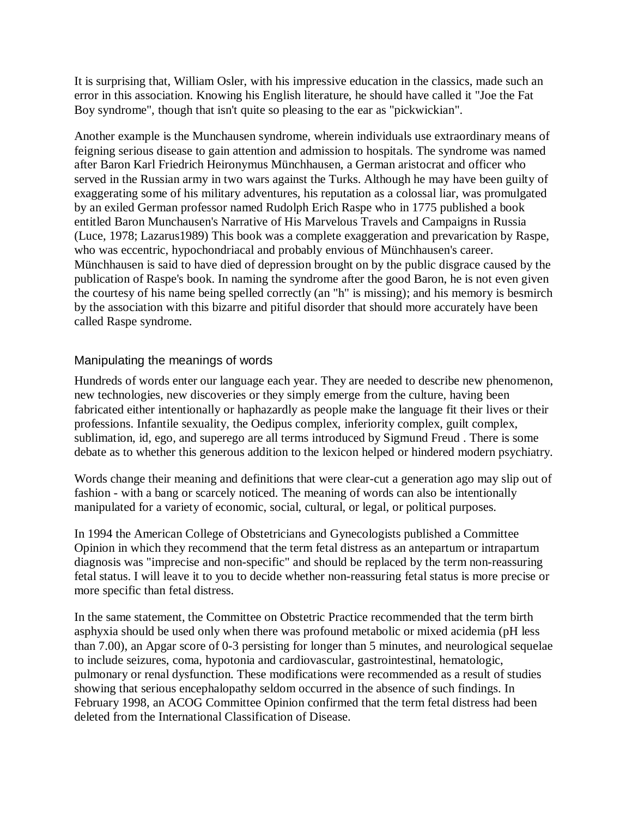It is surprising that, William Osler, with his impressive education in the classics, made such an error in this association. Knowing his English literature, he should have called it "Joe the Fat Boy syndrome", though that isn't quite so pleasing to the ear as "pickwickian".

Another example is the Munchausen syndrome, wherein individuals use extraordinary means of feigning serious disease to gain attention and admission to hospitals. The syndrome was named after Baron Karl Friedrich Heironymus Münchhausen, a German aristocrat and officer who served in the Russian army in two wars against the Turks. Although he may have been guilty of exaggerating some of his military adventures, his reputation as a colossal liar, was promulgated by an exiled German professor named Rudolph Erich Raspe who in 1775 published a book entitled Baron Munchausen's Narrative of His Marvelous Travels and Campaigns in Russia (Luce, 1978; Lazarus1989) This book was a complete exaggeration and prevarication by Raspe, who was eccentric, hypochondriacal and probably envious of Münchhausen's career. Münchhausen is said to have died of depression brought on by the public disgrace caused by the publication of Raspe's book. In naming the syndrome after the good Baron, he is not even given the courtesy of his name being spelled correctly (an "h" is missing); and his memory is besmirch by the association with this bizarre and pitiful disorder that should more accurately have been called Raspe syndrome.

# <span id="page-5-0"></span>Manipulating the meanings of words

Hundreds of words enter our language each year. They are needed to describe new phenomenon, new technologies, new discoveries or they simply emerge from the culture, having been fabricated either intentionally or haphazardly as people make the language fit their lives or their professions. Infantile sexuality, the Oedipus complex, inferiority complex, guilt complex, sublimation, id, ego, and superego are all terms introduced by Sigmund Freud . There is some debate as to whether this generous addition to the lexicon helped or hindered modern psychiatry.

Words change their meaning and definitions that were clear-cut a generation ago may slip out of fashion - with a bang or scarcely noticed. The meaning of words can also be intentionally manipulated for a variety of economic, social, cultural, or legal, or political purposes.

In 1994 the American College of Obstetricians and Gynecologists published a Committee Opinion in which they recommend that the term fetal distress as an antepartum or intrapartum diagnosis was "imprecise and non-specific" and should be replaced by the term non-reassuring fetal status. I will leave it to you to decide whether non-reassuring fetal status is more precise or more specific than fetal distress.

In the same statement, the Committee on Obstetric Practice recommended that the term birth asphyxia should be used only when there was profound metabolic or mixed acidemia (pH less than 7.00), an Apgar score of 0-3 persisting for longer than 5 minutes, and neurological sequelae to include seizures, coma, hypotonia and cardiovascular, gastrointestinal, hematologic, pulmonary or renal dysfunction. These modifications were recommended as a result of studies showing that serious encephalopathy seldom occurred in the absence of such findings. In February 1998, an ACOG Committee Opinion confirmed that the term fetal distress had been deleted from the International Classification of Disease.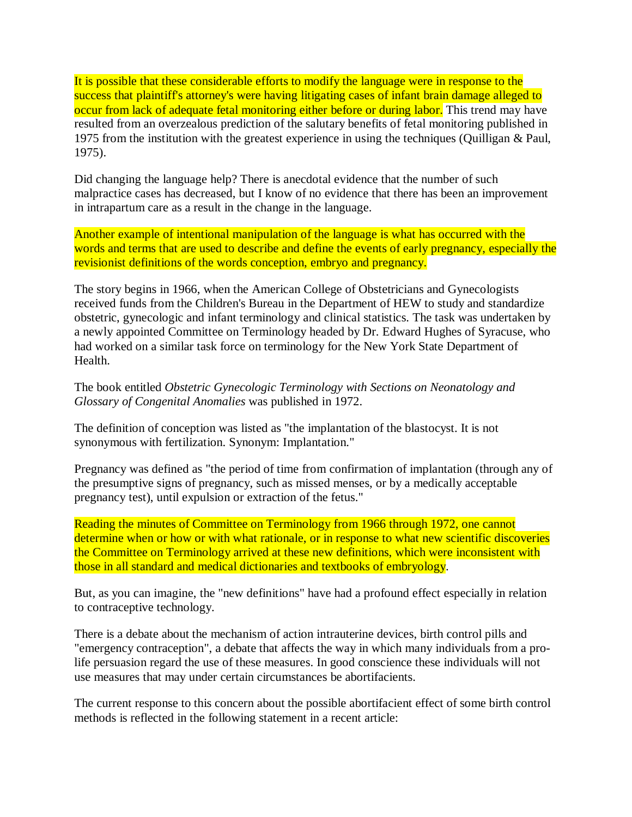It is possible that these considerable efforts to modify the language were in response to the success that plaintiff's attorney's were having litigating cases of infant brain damage alleged to occur from lack of adequate fetal monitoring either before or during labor. This trend may have resulted from an overzealous prediction of the salutary benefits of fetal monitoring published in 1975 from the institution with the greatest experience in using the techniques (Quilligan & Paul, 1975).

Did changing the language help? There is anecdotal evidence that the number of such malpractice cases has decreased, but I know of no evidence that there has been an improvement in intrapartum care as a result in the change in the language.

Another example of intentional manipulation of the language is what has occurred with the words and terms that are used to describe and define the events of early pregnancy, especially the revisionist definitions of the words conception, embryo and pregnancy.

The story begins in 1966, when the American College of Obstetricians and Gynecologists received funds from the Children's Bureau in the Department of HEW to study and standardize obstetric, gynecologic and infant terminology and clinical statistics. The task was undertaken by a newly appointed Committee on Terminology headed by Dr. Edward Hughes of Syracuse, who had worked on a similar task force on terminology for the New York State Department of Health.

The book entitled *Obstetric Gynecologic Terminology with Sections on Neonatology and Glossary of Congenital Anomalies* was published in 1972.

The definition of conception was listed as "the implantation of the blastocyst. It is not synonymous with fertilization. Synonym: Implantation."

Pregnancy was defined as "the period of time from confirmation of implantation (through any of the presumptive signs of pregnancy, such as missed menses, or by a medically acceptable pregnancy test), until expulsion or extraction of the fetus."

Reading the minutes of Committee on Terminology from 1966 through 1972, one cannot determine when or how or with what rationale, or in response to what new scientific discoveries the Committee on Terminology arrived at these new definitions, which were inconsistent with those in all standard and medical dictionaries and textbooks of embryology.

But, as you can imagine, the "new definitions" have had a profound effect especially in relation to contraceptive technology.

There is a debate about the mechanism of action intrauterine devices, birth control pills and "emergency contraception", a debate that affects the way in which many individuals from a prolife persuasion regard the use of these measures. In good conscience these individuals will not use measures that may under certain circumstances be abortifacients.

The current response to this concern about the possible abortifacient effect of some birth control methods is reflected in the following statement in a recent article: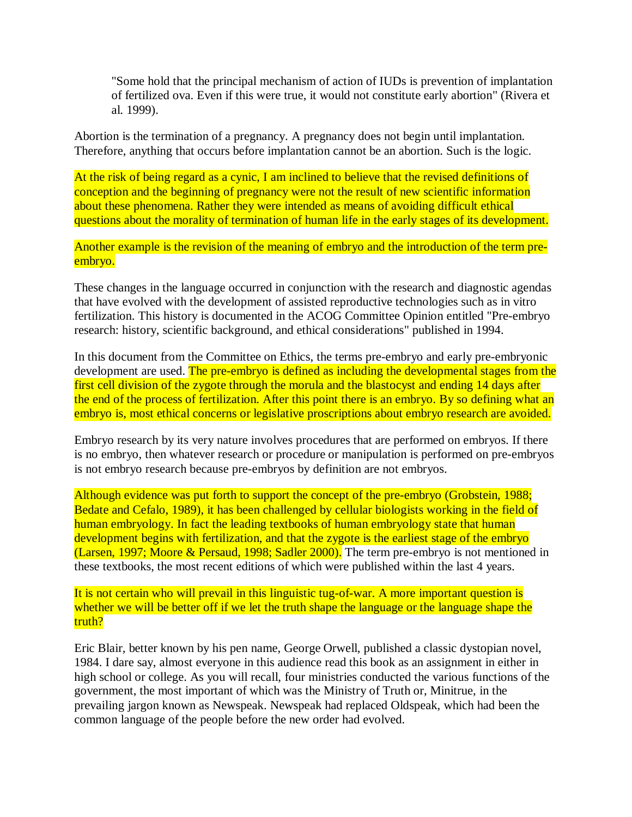"Some hold that the principal mechanism of action of IUDs is prevention of implantation of fertilized ova. Even if this were true, it would not constitute early abortion" (Rivera et al. 1999).

Abortion is the termination of a pregnancy. A pregnancy does not begin until implantation. Therefore, anything that occurs before implantation cannot be an abortion. Such is the logic.

At the risk of being regard as a cynic, I am inclined to believe that the revised definitions of conception and the beginning of pregnancy were not the result of new scientific information about these phenomena. Rather they were intended as means of avoiding difficult ethical questions about the morality of termination of human life in the early stages of its development.

Another example is the revision of the meaning of embryo and the introduction of the term preembryo.

These changes in the language occurred in conjunction with the research and diagnostic agendas that have evolved with the development of assisted reproductive technologies such as in vitro fertilization. This history is documented in the ACOG Committee Opinion entitled "Pre-embryo research: history, scientific background, and ethical considerations" published in 1994.

In this document from the Committee on Ethics, the terms pre-embryo and early pre-embryonic development are used. The pre-embryo is defined as including the developmental stages from the first cell division of the zygote through the morula and the blastocyst and ending 14 days after the end of the process of fertilization. After this point there is an embryo. By so defining what an embryo is, most ethical concerns or legislative proscriptions about embryo research are avoided.

Embryo research by its very nature involves procedures that are performed on embryos. If there is no embryo, then whatever research or procedure or manipulation is performed on pre-embryos is not embryo research because pre-embryos by definition are not embryos.

Although evidence was put forth to support the concept of the pre-embryo (Grobstein, 1988; Bedate and Cefalo, 1989), it has been challenged by cellular biologists working in the field of human embryology. In fact the leading textbooks of human embryology state that human development begins with fertilization, and that the zygote is the earliest stage of the embryo (Larsen, 1997; Moore & Persaud, 1998; Sadler 2000). The term pre-embryo is not mentioned in these textbooks, the most recent editions of which were published within the last 4 years.

It is not certain who will prevail in this linguistic tug-of-war. A more important question is whether we will be better off if we let the truth shape the language or the language shape the truth?

Eric Blair, better known by his pen name, George Orwell, published a classic dystopian novel, 1984. I dare say, almost everyone in this audience read this book as an assignment in either in high school or college. As you will recall, four ministries conducted the various functions of the government, the most important of which was the Ministry of Truth or, Minitrue, in the prevailing jargon known as Newspeak. Newspeak had replaced Oldspeak, which had been the common language of the people before the new order had evolved.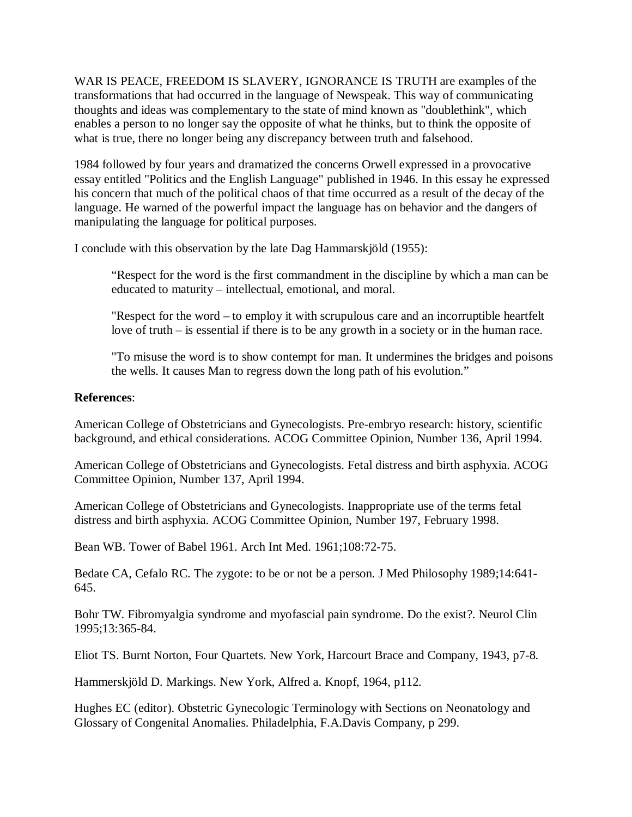WAR IS PEACE, FREEDOM IS SLAVERY, IGNORANCE IS TRUTH are examples of the transformations that had occurred in the language of Newspeak. This way of communicating thoughts and ideas was complementary to the state of mind known as "doublethink", which enables a person to no longer say the opposite of what he thinks, but to think the opposite of what is true, there no longer being any discrepancy between truth and falsehood.

1984 followed by four years and dramatized the concerns Orwell expressed in a provocative essay entitled "Politics and the English Language" published in 1946. In this essay he expressed his concern that much of the political chaos of that time occurred as a result of the decay of the language. He warned of the powerful impact the language has on behavior and the dangers of manipulating the language for political purposes.

I conclude with this observation by the late Dag Hammarskjöld (1955):

"Respect for the word is the first commandment in the discipline by which a man can be educated to maturity – intellectual, emotional, and moral.

"Respect for the word – to employ it with scrupulous care and an incorruptible heartfelt love of truth – is essential if there is to be any growth in a society or in the human race.

"To misuse the word is to show contempt for man. It undermines the bridges and poisons the wells. It causes Man to regress down the long path of his evolution."

### **References**:

American College of Obstetricians and Gynecologists. Pre-embryo research: history, scientific background, and ethical considerations. ACOG Committee Opinion, Number 136, April 1994.

American College of Obstetricians and Gynecologists. Fetal distress and birth asphyxia. ACOG Committee Opinion, Number 137, April 1994.

American College of Obstetricians and Gynecologists. Inappropriate use of the terms fetal distress and birth asphyxia. ACOG Committee Opinion, Number 197, February 1998.

Bean WB. Tower of Babel 1961. Arch Int Med. 1961;108:72-75.

Bedate CA, Cefalo RC. The zygote: to be or not be a person. J Med Philosophy 1989;14:641- 645.

Bohr TW. Fibromyalgia syndrome and myofascial pain syndrome. Do the exist?. Neurol Clin 1995;13:365-84.

Eliot TS. Burnt Norton, Four Quartets. New York, Harcourt Brace and Company, 1943, p7-8.

Hammerskjöld D. Markings. New York, Alfred a. Knopf, 1964, p112.

Hughes EC (editor). Obstetric Gynecologic Terminology with Sections on Neonatology and Glossary of Congenital Anomalies. Philadelphia, F.A.Davis Company, p 299.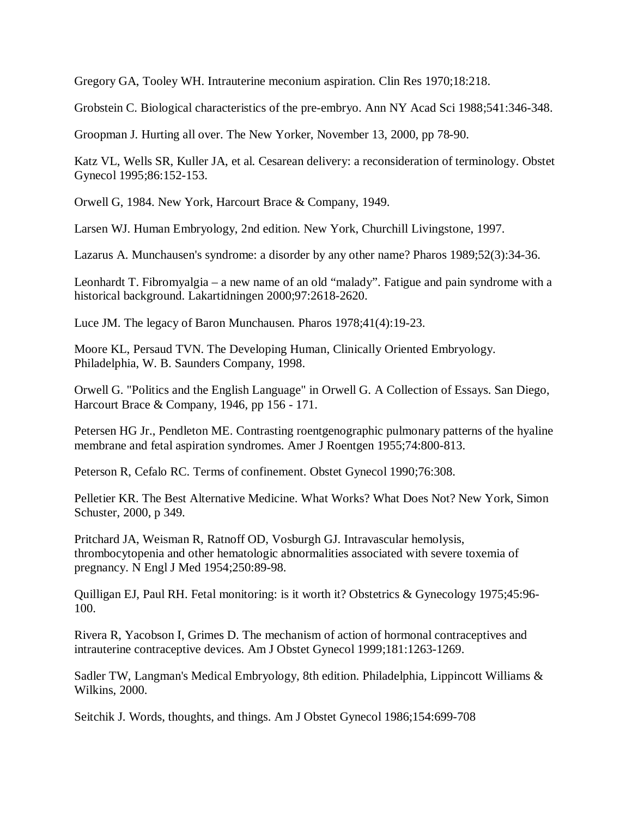Gregory GA, Tooley WH. Intrauterine meconium aspiration. Clin Res 1970;18:218.

Grobstein C. Biological characteristics of the pre-embryo. Ann NY Acad Sci 1988;541:346-348.

Groopman J. Hurting all over. The New Yorker, November 13, 2000, pp 78-90.

Katz VL, Wells SR, Kuller JA, et al. Cesarean delivery: a reconsideration of terminology. Obstet Gynecol 1995;86:152-153.

Orwell G, 1984. New York, Harcourt Brace & Company, 1949.

Larsen WJ. Human Embryology, 2nd edition. New York, Churchill Livingstone, 1997.

Lazarus A. Munchausen's syndrome: a disorder by any other name? Pharos 1989;52(3):34-36.

Leonhardt T. Fibromyalgia – a new name of an old "malady". Fatigue and pain syndrome with a historical background. Lakartidningen 2000;97:2618-2620.

Luce JM. The legacy of Baron Munchausen. Pharos 1978;41(4):19-23.

Moore KL, Persaud TVN. The Developing Human, Clinically Oriented Embryology. Philadelphia, W. B. Saunders Company, 1998.

Orwell G. "Politics and the English Language" in Orwell G. A Collection of Essays. San Diego, Harcourt Brace & Company, 1946, pp 156 - 171.

Petersen HG Jr., Pendleton ME. Contrasting roentgenographic pulmonary patterns of the hyaline membrane and fetal aspiration syndromes. Amer J Roentgen 1955;74:800-813.

Peterson R, Cefalo RC. Terms of confinement. Obstet Gynecol 1990;76:308.

Pelletier KR. The Best Alternative Medicine. What Works? What Does Not? New York, Simon Schuster, 2000, p 349.

Pritchard JA, Weisman R, Ratnoff OD, Vosburgh GJ. Intravascular hemolysis, thrombocytopenia and other hematologic abnormalities associated with severe toxemia of pregnancy. N Engl J Med 1954;250:89-98.

Quilligan EJ, Paul RH. Fetal monitoring: is it worth it? Obstetrics & Gynecology 1975;45:96- 100.

Rivera R, Yacobson I, Grimes D. The mechanism of action of hormonal contraceptives and intrauterine contraceptive devices. Am J Obstet Gynecol 1999;181:1263-1269.

Sadler TW, Langman's Medical Embryology, 8th edition. Philadelphia, Lippincott Williams & Wilkins, 2000.

Seitchik J. Words, thoughts, and things. Am J Obstet Gynecol 1986;154:699-708